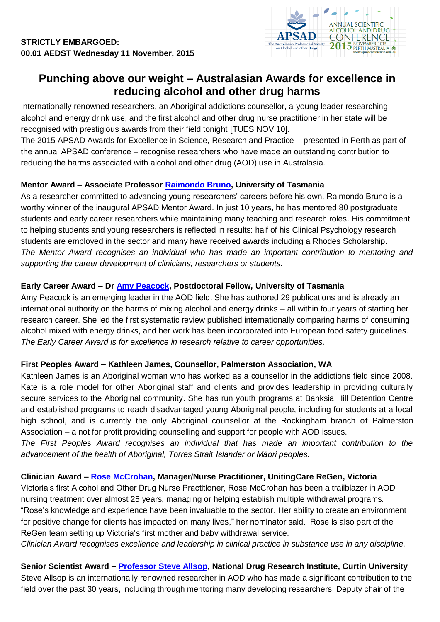

# **Punching above our weight – Australasian Awards for excellence in reducing alcohol and other drug harms**

Internationally renowned researchers, an Aboriginal addictions counsellor, a young leader researching alcohol and energy drink use, and the first alcohol and other drug nurse practitioner in her state will be recognised with prestigious awards from their field tonight [TUES NOV 10].

The 2015 APSAD Awards for Excellence in Science, Research and Practice – presented in Perth as part of the annual APSAD conference – recognise researchers who have made an outstanding contribution to reducing the harms associated with alcohol and other drug (AOD) use in Australasia.

## **Mentor Award – Associate Professor [Raimondo Bruno,](http://www.utas.edu.au/profiles/staff/faculty-of-health/school-of-medicine/psychology/raimondo-bruno) University of Tasmania**

As a researcher committed to advancing young researchers' careers before his own, Raimondo Bruno is a worthy winner of the inaugural APSAD Mentor Award. In just 10 years, he has mentored 80 postgraduate students and early career researchers while maintaining many teaching and research roles. His commitment to helping students and young researchers is reflected in results: half of his Clinical Psychology research students are employed in the sector and many have received awards including a Rhodes Scholarship. *The Mentor Award recognises an individual who has made an important contribution to mentoring and supporting the career development of clinicians, researchers or students.*

#### **Early Career Award – Dr [Amy Peacock,](http://www.utas.edu.au/health/people/fhs-profiles/psychology/Amy-Peacock) Postdoctoral Fellow, University of Tasmania**

Amy Peacock is an emerging leader in the AOD field. She has authored 29 publications and is already an international authority on the harms of mixing alcohol and energy drinks – all within four years of starting her research career. She led the first systematic review published internationally comparing harms of consuming alcohol mixed with energy drinks, and her work has been incorporated into European food safety guidelines. *The Early Career Award is for excellence in research relative to career opportunities.*

## **First Peoples Award – Kathleen James, Counsellor, Palmerston Association, WA**

Kathleen James is an Aboriginal woman who has worked as a counsellor in the addictions field since 2008. Kate is a role model for other Aboriginal staff and clients and provides leadership in providing culturally secure services to the Aboriginal community. She has run youth programs at Banksia Hill Detention Centre and established programs to reach disadvantaged young Aboriginal people, including for students at a local high school, and is currently the only Aboriginal counsellor at the Rockingham branch of Palmerston Association – a not for profit providing counselling and support for people with AOD issues.

*The First Peoples Award recognises an individual that has made an important contribution to the advancement of the health of Aboriginal, Torres Strait Islander or Māori peoples.*

#### **Clinician Award – [Rose McCrohan,](https://au.linkedin.com/pub/rose-mccrohan/26/14/b34) Manager/Nurse Practitioner, UnitingCare ReGen, Victoria**

Victoria's first Alcohol and Other Drug Nurse Practitioner, Rose McCrohan has been a trailblazer in AOD nursing treatment over almost 25 years, managing or helping establish multiple withdrawal programs. "Rose's knowledge and experience have been invaluable to the sector. Her ability to create an environment for positive change for clients has impacted on many lives," her nominator said. Rose is also part of the ReGen team setting up Victoria's first mother and baby withdrawal service.

*Clinician Award recognises excellence and leadership in clinical practice in substance use in any discipline.*

# **Senior Scientist Award – [Professor Steve Allsop,](http://db.ndri.curtin.edu.au/staff/staff.asp?persid=105&typeid=2) National Drug Research Institute, Curtin University**

Steve Allsop is an internationally renowned researcher in AOD who has made a significant contribution to the field over the past 30 years, including through mentoring many developing researchers. Deputy chair of the